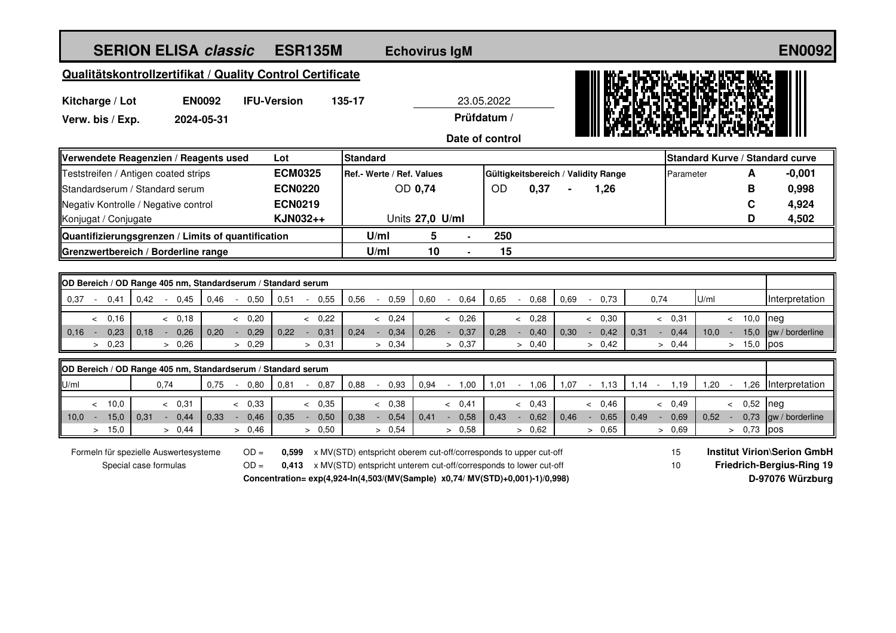| <b>SERION ELISA classic</b>                                                                                |                |      |                    | <b>ESR135M</b>         |                                              |                                                                  |                   | <b>Echovirus IgM</b>   |                 |                |      |                                     |              |                                 |                  |                                  |                | <b>EN0092</b>                      |
|------------------------------------------------------------------------------------------------------------|----------------|------|--------------------|------------------------|----------------------------------------------|------------------------------------------------------------------|-------------------|------------------------|-----------------|----------------|------|-------------------------------------|--------------|---------------------------------|------------------|----------------------------------|----------------|------------------------------------|
| Qualitätskontrollzertifikat / Quality Control Certificate                                                  |                |      |                    |                        |                                              |                                                                  |                   |                        |                 |                |      |                                     |              |                                 |                  |                                  |                |                                    |
| Kitcharge / Lot                                                                                            | <b>EN0092</b>  |      | <b>IFU-Version</b> | 135-17<br>23.05.2022   |                                              |                                                                  |                   |                        |                 |                |      |                                     |              |                                 |                  |                                  |                |                                    |
| Verw. bis / Exp.<br>2024-05-31                                                                             |                |      |                    |                        | Prüfdatum /                                  |                                                                  |                   |                        |                 |                |      |                                     |              |                                 |                  |                                  |                |                                    |
|                                                                                                            |                |      |                    |                        |                                              |                                                                  |                   |                        | Date of control |                |      |                                     |              |                                 |                  |                                  |                |                                    |
|                                                                                                            |                |      |                    |                        |                                              |                                                                  |                   |                        |                 |                |      |                                     |              | Standard Kurve / Standard curve |                  |                                  |                |                                    |
| Verwendete Reagenzien / Reagents used                                                                      |                |      |                    | Lot<br><b>ECM0325</b>  | <b>Standard</b><br>Ref.- Werte / Ref. Values |                                                                  |                   |                        |                 |                |      | Gültigkeitsbereich / Validity Range |              |                                 |                  |                                  | $-0,001$       |                                    |
| Teststreifen / Antigen coated strips<br>Standardserum / Standard serum                                     |                |      | <b>ECN0220</b>     | OD 0,74                |                                              |                                                                  | <b>OD</b><br>0,37 |                        |                 |                | 1,26 |                                     |              | A<br>Parameter<br>в             |                  | 0,998                            |                |                                    |
| Negativ Kontrolle / Negative control                                                                       |                |      | <b>ECN0219</b>     |                        |                                              |                                                                  |                   |                        |                 |                |      |                                     |              |                                 |                  | C                                | 4,924          |                                    |
| Konjugat / Conjugate                                                                                       |                |      |                    | KJN032++               | Units 27,0 U/ml                              |                                                                  |                   |                        |                 |                |      |                                     |              |                                 |                  |                                  | D              | 4,502                              |
| Quantifizierungsgrenzen / Limits of quantification                                                         |                |      |                    |                        |                                              | U/ml                                                             | 5                 |                        | 250             |                |      |                                     |              |                                 |                  |                                  |                |                                    |
| Grenzwertbereich / Borderline range                                                                        |                |      |                    |                        |                                              | U/ml                                                             | 10                |                        | 15              |                |      |                                     |              |                                 |                  |                                  |                |                                    |
|                                                                                                            |                |      |                    |                        |                                              |                                                                  |                   |                        |                 |                |      |                                     |              |                                 |                  |                                  |                |                                    |
| OD Bereich / OD Range 405 nm, Standardserum / Standard serum                                               |                |      |                    |                        |                                              |                                                                  |                   |                        |                 |                |      |                                     |              |                                 |                  |                                  |                |                                    |
| 0,42<br>0.37<br>0,41                                                                                       | 0,45<br>$\sim$ | 0,46 | 0,50<br>$\sim$ $-$ | 0,51<br>$-0,55$        | 0,56                                         | 0,59<br>$\sim$                                                   | 0,60              | 0,64<br>$\sim$         | 0,65            | 0,68<br>$\sim$ | 0.69 | $-0,73$                             |              | 0,74                            |                  | U/ml                             |                | Interpretation                     |
| & 0.16                                                                                                     | & 0,18         |      | & 0.20             | & 0,22                 |                                              | & 0.24                                                           |                   | & 0,26                 |                 | < 0.28         |      | < 0.30                              |              |                                 | & 0.31           |                                  | $< 10.0$ neg   |                                    |
| 0,16<br>0,23<br>$\sim$ $-$                                                                                 | $0,18 - 0,26$  | 0.20 | 0,29<br>$\sim$     | 0,22<br>$-0,31$        | 0.24                                         | 0,34<br>$\sim$                                                   | 0,26              | 0,37<br>$\sim$ $ \sim$ | 0,28            | $-0,40$        | 0,30 | $-0.42$                             |              | 0,31                            | $-0.44$          | 10,0                             | $\sim$ $-$     | 15,0 $\vert$ gw / borderline       |
| > 0,23                                                                                                     | > 0,26         |      | > 0,29             | > 0,31                 |                                              | > 0,34                                                           |                   | > 0,37                 |                 | > 0,40         |      | > 0,42                              |              |                                 | > 0,44           |                                  | $> 15,0$ pos   |                                    |
| OD Bereich / OD Range 405 nm, Standardserum / Standard serum                                               |                |      |                    |                        |                                              |                                                                  |                   |                        |                 |                |      |                                     |              |                                 |                  |                                  |                |                                    |
| U/ml                                                                                                       | 0,74           | 0,75 | $-0,80$            | 0,81<br>0,87<br>$\sim$ | 0,88                                         | 0,93<br>$\overline{\phantom{a}}$                                 | 0,94              | $-1,00$                | 1,01            | $-1,06$        | 1,07 | $-1,13$                             |              | $1,14 -$                        | 1,19             | $1,20 -$                         |                | 1,26 Interpretation                |
| < 10.0                                                                                                     | & 0.31         |      | < 0,33             | < 0,35                 |                                              | < 0,38                                                           |                   | & 0,41                 |                 | < 0.43         |      | < 0.46                              |              |                                 | < 0.49           |                                  | $\lt$ 0,52 neg |                                    |
| 15,0<br>10.0 <sub>1</sub><br>0,31<br>$\sim$ $-$                                                            | 0,44<br>$\sim$ | 0,33 | 0,46<br>$\sim$     | 0,50<br>0,35<br>$\sim$ | 0,38                                         | 0,54<br>$\sim$                                                   | 0,41              | 0,58<br>$\sim$         | 0,43            | 0,62<br>$\sim$ | 0,46 | $\sim$                              | 0,65<br>0,49 |                                 | 0,69             | 0,52                             | 0,73<br>$\sim$ | gw / borderline                    |
| 15,0<br>$\,>$                                                                                              | > 0,44         |      | > 0,46             | > 0,50                 |                                              | > 0,54                                                           |                   | > 0,58                 |                 | > 0,62         |      | > 0,65                              |              |                                 | > 0,69           |                                  | $> 0.73$ pos   |                                    |
| Formeln für spezielle Auswertesysteme                                                                      |                |      | $OD =$             | 0,599                  |                                              | x MV(STD) entspricht oberem cut-off/corresponds to upper cut-off |                   |                        |                 |                |      |                                     |              |                                 | 15               |                                  |                | <b>Institut Virion\Serion GmbH</b> |
| $OD =$<br>0,413 x MV(STD) entspricht unterem cut-off/corresponds to lower cut-off<br>Special case formulas |                |      |                    |                        |                                              |                                                                  |                   |                        |                 |                |      |                                     | 10           |                                 |                  | <b>Friedrich-Bergius-Ring 19</b> |                |                                    |
| Concentration= exp(4,924-ln(4,503/(MV(Sample) x0,74/ MV(STD)+0,001)-1)/0,998)                              |                |      |                    |                        |                                              |                                                                  |                   |                        |                 |                |      |                                     |              |                                 | D-97076 Würzburg |                                  |                |                                    |
|                                                                                                            |                |      |                    |                        |                                              |                                                                  |                   |                        |                 |                |      |                                     |              |                                 |                  |                                  |                |                                    |
|                                                                                                            |                |      |                    |                        |                                              |                                                                  |                   |                        |                 |                |      |                                     |              |                                 |                  |                                  |                |                                    |
|                                                                                                            |                |      |                    |                        |                                              |                                                                  |                   |                        |                 |                |      |                                     |              |                                 |                  |                                  |                |                                    |
|                                                                                                            |                |      |                    |                        |                                              |                                                                  |                   |                        |                 |                |      |                                     |              |                                 |                  |                                  |                |                                    |
|                                                                                                            |                |      |                    |                        |                                              |                                                                  |                   |                        |                 |                |      |                                     |              |                                 |                  |                                  |                |                                    |
|                                                                                                            |                |      |                    |                        |                                              |                                                                  |                   |                        |                 |                |      |                                     |              |                                 |                  |                                  |                |                                    |